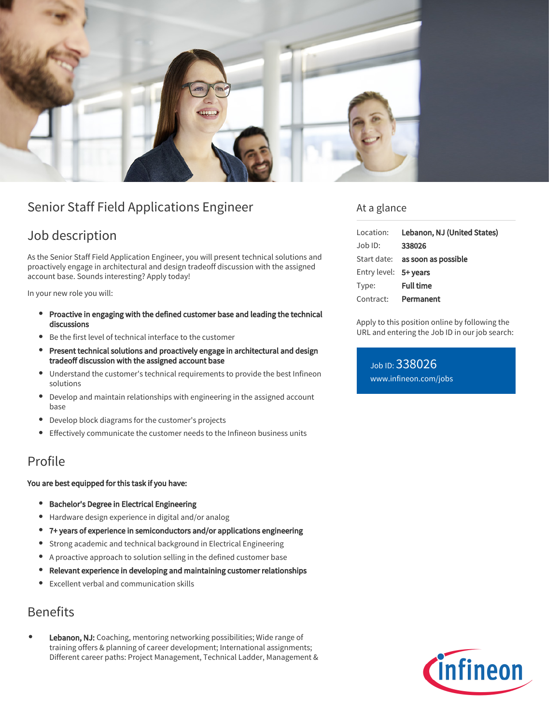

# Senior Staff Field Applications Engineer

# Job description

As the Senior Staff Field Application Engineer, you will present technical solutions and proactively engage in architectural and design tradeoff discussion with the assigned account base. Sounds interesting? Apply today!

In your new role you will:

- Proactive in engaging with the defined customer base and leading the technical discussions
- Be the first level of technical interface to the customer
- Present technical solutions and proactively engage in architectural and design tradeoff discussion with the assigned account base
- Understand the customer's technical requirements to provide the best Infineon solutions
- $\bullet$ Develop and maintain relationships with engineering in the assigned account base
- Develop block diagrams for the customer's projects
- Effectively communicate the customer needs to the Infineon business units  $\bullet$

### Profile

#### You are best equipped for this task if you have:

- **•** Bachelor's Degree in Electrical Engineering
- Hardware design experience in digital and/or analog
- 7+ years of experience in semiconductors and/or applications engineering
- Strong academic and technical background in Electrical Engineering  $\bullet$
- A proactive approach to solution selling in the defined customer base
- Relevant experience in developing and maintaining customer relationships  $\bullet$
- Excellent verbal and communication skills

## Benefits

Lebanon, NJ: Coaching, mentoring networking possibilities; Wide range of training offers & planning of career development; International assignments; Different career paths: Project Management, Technical Ladder, Management &

### At a glance

|                       | Location: Lebanon, NJ (United States)  |
|-----------------------|----------------------------------------|
| Job ID:               | 338026                                 |
|                       | Start date: <b>as soon as possible</b> |
| Entry level: 5+ years |                                        |
| Type:                 | <b>Full time</b>                       |
| Contract: Permanent   |                                        |

Apply to this position online by following the URL and entering the Job ID in our job search:

Job ID: 338026 [www.infineon.com/jobs](https://www.infineon.com/jobs)